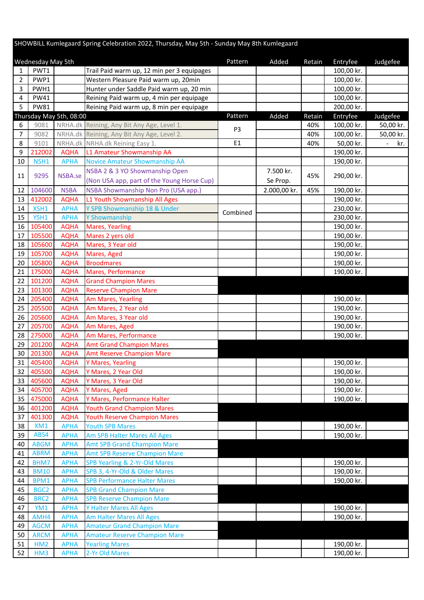## SHOWBILL Kumlegaard Spring Celebration 2022, Thursday, May 5th - Sunday May 8th Kumlegaard

|          | <b>Wednesday May 5th</b> |                            |                                                                    | Pattern        | Added        | Retain | Entryfee   | Judgefee  |
|----------|--------------------------|----------------------------|--------------------------------------------------------------------|----------------|--------------|--------|------------|-----------|
| 1        | PWT1                     |                            | Trail Paid warm up, 12 min per 3 equipages                         |                |              |        | 100,00 kr. |           |
| 2        | PWP1                     |                            | Western Pleasure Paid warm up, 20min                               |                |              |        | 100,00 kr. |           |
| 3        | PWH1                     |                            | Hunter under Saddle Paid warm up, 20 min                           |                |              |        | 100,00 kr. |           |
| 4        | <b>PW41</b>              |                            | Reining Paid warm up, 4 min per equipage                           |                |              |        | 100,00 kr. |           |
| 5        | <b>PW81</b>              |                            | Reining Paid warm up, 8 min per equipage                           |                |              |        | 200,00 kr. |           |
|          |                          | Thursday May 5th, 08:00    |                                                                    | Pattern        | Added        | Retain | Entryfee   | Judgefee  |
| 6        | 9081                     |                            | NRHA.dk Reining, Any Bit Any Age, Level 1.                         | P <sub>3</sub> |              | 40%    | 100,00 kr. | 50,00 kr. |
| 7        | 9082                     |                            | NRHA.dk Reining, Any Bit Any Age, Level 2.                         |                |              | 40%    | 100,00 kr. | 50,00 kr. |
| 8        | 9101                     |                            | NRHA.dk NRHA.dk Reining Easy 1.                                    | E1             |              | 40%    | 50,00 kr.  | kr.       |
| 9        | 212002                   | <b>AQHA</b>                | L1 Amateur Showmanship AA                                          |                |              |        | 190,00 kr. |           |
| 10       | NSH <sub>1</sub>         | <b>APHA</b>                | Novice Amateur Showmanship AA                                      |                |              |        | 190,00 kr. |           |
| 11       | 9295                     | NSBA.se                    | NSBA 2 & 3 YO Showmanship Open                                     |                | 7.500 kr.    | 45%    | 290,00 kr. |           |
|          |                          |                            | (Non USA app, part of the Young Horse Cup)                         |                | Se Prop.     |        |            |           |
| 12       | 104600                   | <b>NSBA</b>                | NSBA Showmanship Non Pro (USA app.)                                |                | 2.000,00 kr. | 45%    | 190,00 kr. |           |
| 13       | 412002                   | <b>AQHA</b>                | L1 Youth Showmanship All Ages                                      |                |              |        | 190,00 kr. |           |
| 14       | XSH1                     | <b>APHA</b>                | Y SPB Showmanship 18 & Under                                       | Combined       |              |        | 230,00 kr. |           |
| 15       | YSH1                     | <b>APHA</b>                | Y Showmanship                                                      |                |              |        | 230,00 kr. |           |
| 16       | 105400                   | <b>AQHA</b>                | <b>Mares, Yearling</b>                                             |                |              |        | 190,00 kr. |           |
| 17       | 105500                   | <b>AQHA</b>                | Mares 2 yers old                                                   |                |              |        | 190,00 kr. |           |
| 18       | 105600                   | <b>AQHA</b>                | Mares, 3 Year old                                                  |                |              |        | 190,00 kr. |           |
| 19       | 105700                   | <b>AQHA</b>                | Mares, Aged                                                        |                |              |        | 190,00 kr. |           |
| 20       | 105800                   | <b>AQHA</b>                | <b>Broodmares</b>                                                  |                |              |        | 190,00 kr. |           |
| 21<br>22 | 175000<br>101200         | <b>AQHA</b><br><b>AQHA</b> | Mares, Performance<br><b>Grand Champion Mares</b>                  |                |              |        | 190,00 kr. |           |
| 23       | 101300                   | <b>AQHA</b>                | <b>Reserve Champion Mare</b>                                       |                |              |        |            |           |
| 24       | 205400                   | <b>AQHA</b>                | Am Mares, Yearling                                                 |                |              |        | 190,00 kr. |           |
| 25       | 205500                   | <b>AQHA</b>                | Am Mares, 2 Year old                                               |                |              |        | 190,00 kr. |           |
| 26       | 205600                   | <b>AQHA</b>                | Am Mares, 3 Year old                                               |                |              |        | 190,00 kr. |           |
| 27       | 205700                   | <b>AQHA</b>                | Am Mares, Aged                                                     |                |              |        | 190,00 kr. |           |
| 28       | 275000                   | <b>AQHA</b>                | Am Mares, Performance                                              |                |              |        | 190,00 kr. |           |
| 29       | 201200                   | <b>AQHA</b>                | <b>Amt Grand Champion Mares</b>                                    |                |              |        |            |           |
| 30       | 201300                   | <b>AQHA</b>                | <b>Amt Reserve Champion Mare</b>                                   |                |              |        |            |           |
| 31       | 405400                   | <b>AQHA</b>                | Y Mares, Yearling                                                  |                |              |        | 190,00 kr. |           |
| 32       | 405500                   | <b>AQHA</b>                | Y Mares, 2 Year Old                                                |                |              |        | 190,00 kr. |           |
| 33       | 405600                   | <b>AQHA</b>                | Y Mares, 3 Year Old                                                |                |              |        | 190,00 kr. |           |
| 34       | 405700                   | <b>AQHA</b>                | Y Mares, Aged                                                      |                |              |        | 190,00 kr. |           |
| 35       | 475000                   | <b>AQHA</b>                | Y Mares, Performance Halter                                        |                |              |        | 190,00 kr. |           |
| 36       | 401200                   | <b>AQHA</b>                | <b>Youth Grand Champion Mares</b>                                  |                |              |        |            |           |
| 37       | 401300                   | <b>AQHA</b>                | <b>Youth Reserve Champion Mares</b>                                |                |              |        |            |           |
| 38<br>39 | XM1<br>ABS4              | <b>APHA</b>                | <b>Youth SPB Mares</b>                                             |                |              |        | 190,00 kr. |           |
| 40       | <b>ABGM</b>              | <b>APHA</b><br><b>APHA</b> | Am SPB Halter Mares All Ages<br><b>Amt SPB Grand Champion Mare</b> |                |              |        | 190,00 kr. |           |
| 41       | <b>ABRM</b>              | <b>APHA</b>                | <b>Amt SPB Reserve Champion Mare</b>                               |                |              |        |            |           |
| 42       | BHM7                     | <b>APHA</b>                | SPB Yearling & 2-Yr-Old Mares                                      |                |              |        | 190,00 kr. |           |
| 43       | <b>BM10</b>              | <b>APHA</b>                | SPB 3, 4-Yr-Old & Older Mares                                      |                |              |        | 190,00 kr. |           |
| 44       | BPM1                     | <b>APHA</b>                | <b>SPB Performance Halter Mares</b>                                |                |              |        | 190,00 kr. |           |
| 45       | BGC <sub>2</sub>         | <b>APHA</b>                | <b>SPB Grand Champion Mare</b>                                     |                |              |        |            |           |
| 46       | BRC <sub>2</sub>         | <b>APHA</b>                | <b>SPB Reserve Champion Mare</b>                                   |                |              |        |            |           |
| 47       | YM1                      | <b>APHA</b>                | Y Halter Mares All Ages                                            |                |              |        | 190,00 kr. |           |
| 48       | AMH4                     | <b>APHA</b>                | <b>Am Halter Mares All Ages</b>                                    |                |              |        | 190,00 kr. |           |
| 49       | <b>AGCM</b>              | <b>APHA</b>                | <b>Amateur Grand Champion Mare</b>                                 |                |              |        |            |           |
| 50       | <b>ARCM</b>              | <b>APHA</b>                | <b>Amateur Reserve Champion Mare</b>                               |                |              |        |            |           |
| 51       | HM <sub>2</sub>          | <b>APHA</b>                | <b>Yearling Mares</b>                                              |                |              |        | 190,00 kr. |           |
| 52       | HM3                      | <b>APHA</b>                | 2-Yr Old Mares                                                     |                |              |        | 190,00 kr. |           |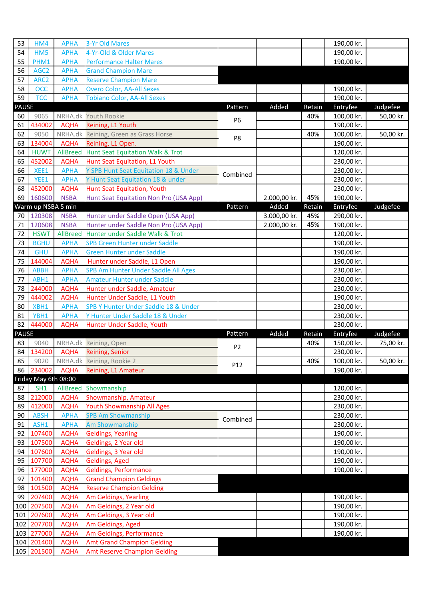| 53           | HM4                  | <b>APHA</b>                | 3-Yr Old Mares                                                |                |              |        | 190,00 kr.               |           |
|--------------|----------------------|----------------------------|---------------------------------------------------------------|----------------|--------------|--------|--------------------------|-----------|
| 54           | HM5                  | <b>APHA</b>                | 4-Yr-Old & Older Mares                                        |                |              |        | 190,00 kr.               |           |
| 55           | PHM1                 | <b>APHA</b>                | <b>Performance Halter Mares</b>                               |                |              |        | 190,00 kr.               |           |
| 56           | AGC <sub>2</sub>     | <b>APHA</b>                | <b>Grand Champion Mare</b>                                    |                |              |        |                          |           |
| 57           | ARC <sub>2</sub>     | <b>APHA</b>                | <b>Reserve Champion Mare</b>                                  |                |              |        |                          |           |
| 58           | <b>OCC</b>           | <b>APHA</b>                | <b>Overo Color, AA-All Sexes</b>                              |                |              |        | 190,00 kr.               |           |
| 59           | <b>TCC</b>           | <b>APHA</b>                | <b>Tobiano Color, AA-All Sexes</b>                            |                |              |        | 190,00 kr.               |           |
| <b>PAUSE</b> |                      |                            |                                                               | Pattern        | Added        | Retain | Entryfee                 | Judgefee  |
| 60           | 9065                 |                            | NRHA.dk Youth Rookie                                          | P <sub>6</sub> |              | 40%    | 100,00 kr.               | 50,00 kr. |
| 61           | 434002               | <b>AQHA</b>                | Reining, L1 Youth                                             |                |              |        | 190,00 kr.               |           |
| 62           | 9050                 |                            | NRHA.dk Reining, Green as Grass Horse                         | P8             |              | 40%    | 100,00 kr.               | 50,00 kr. |
| 63           | 134004               | <b>AQHA</b>                | Reining, L1 Open.                                             |                |              |        | 190,00 kr.               |           |
| 64           | <b>HUWT</b>          | AllBreed                   | <b>Hunt Seat Equitation Walk &amp; Trot</b>                   |                |              |        | 120,00 kr.               |           |
| 65           | 452002               | <b>AQHA</b>                | Hunt Seat Equitation, L1 Youth                                |                |              |        | 230,00 kr.               |           |
| 66           | XEE1                 | <b>APHA</b>                | Y SPB Hunt Seat Equitation 18 & Under                         | Combined       |              |        | 230,00 kr.               |           |
| 67           | YEE1                 | <b>APHA</b>                | Y Hunt Seat Equitation 18 & under                             |                |              |        | 230,00 kr.               |           |
| 68           | 452000               | <b>AQHA</b>                | <b>Hunt Seat Equitation, Youth</b>                            |                |              |        | 230,00 kr.               |           |
| 69           | 160600               | <b>NSBA</b>                | Hunt Seat Equitation Non Pro (USA App)                        |                | 2.000,00 kr. | 45%    | 190,00 kr.               |           |
|              | Warm up NSBA 5 min   |                            |                                                               | Pattern        | Added        | Retain | Entryfee                 | Judgefee  |
| 70           | 120308               | <b>NSBA</b>                | Hunter under Saddle Open (USA App)                            |                | 3.000,00 kr. | 45%    | 290,00 kr.               |           |
| 71           | 120608               | <b>NSBA</b>                | Hunter under Saddle Non Pro (USA App)                         |                | 2.000,00 kr. | 45%    | 190,00 kr.               |           |
| 72           | <b>HSWT</b>          | <b>AllBreed</b>            | Hunter under Saddle Walk & Trot                               |                |              |        | 120,00 kr.               |           |
| 73           | <b>BGHU</b>          | <b>APHA</b>                | SPB Green Hunter under Saddle                                 |                |              |        | 190,00 kr.               |           |
| 74           | <b>GHU</b>           | <b>APHA</b>                | <b>Green Hunter under Saddle</b>                              |                |              |        | 190,00 kr.               |           |
| 75           | 144004               | <b>AQHA</b>                | Hunter under Saddle, L1 Open                                  |                |              |        | 190,00 kr.               |           |
| 76           | <b>ABBH</b>          | <b>APHA</b>                | SPB Am Hunter Under Saddle All Ages                           |                |              |        | 230,00 kr.               |           |
| 77           | ABH1                 | <b>APHA</b>                | <b>Amateur Hunter under Saddle</b>                            |                |              |        | 230,00 kr.               |           |
| 78           | 244000<br>444002     | <b>AQHA</b>                | Hunter under Saddle, Amateur<br>Hunter Under Saddle, L1 Youth |                |              |        | 230,00 kr.               |           |
| 79<br>80     | XBH1                 | <b>AQHA</b><br><b>APHA</b> | SPB Y Hunter Under Saddle 18 & Under                          |                |              |        | 190,00 kr.<br>230,00 kr. |           |
| 81           | YBH1                 | <b>APHA</b>                | Y Hunter Under Saddle 18 & Under                              |                |              |        | 230,00 kr.               |           |
| 82           | 444000               | <b>AQHA</b>                | Hunter Under Saddle, Youth                                    |                |              |        | 230,00 kr.               |           |
| <b>PAUSE</b> |                      |                            |                                                               | Pattern        | Added        | Retain | Entryfee                 | Judgefee  |
| 83           | 9040                 |                            | NRHA.dk Reining, Open                                         |                |              | 40%    | 150,00 kr.               | 75,00 kr. |
| 84           | 134200               | <b>AQHA</b>                | Reining, Senior                                               | P <sub>2</sub> |              |        | 230,00 kr.               |           |
| 85           | 9020                 |                            | NRHA.dk Reining, Rookie 2                                     |                |              | 40%    | 100,00 kr.               | 50,00 kr. |
|              | 86 234002            | <b>AQHA</b>                | Reining, L1 Amateur                                           | P12            |              |        | 190,00 kr.               |           |
|              | Friday May 6th 08:00 |                            |                                                               |                |              |        |                          |           |
| 87           | SH <sub>1</sub>      |                            | AllBreed Showmanship                                          |                |              |        | 120,00 kr.               |           |
| 88           | 212000               | <b>AQHA</b>                | Showmanship, Amateur                                          |                |              |        | 230,00 kr.               |           |
| 89           | 412000               | <b>AQHA</b>                | <b>Youth Showmanship All Ages</b>                             |                |              |        | 230,00 kr.               |           |
| 90           | <b>ABSH</b>          | <b>APHA</b>                | <b>SPB Am Showmanship</b>                                     | Combined       |              |        | 230,00 kr.               |           |
| 91           | ASH1                 | <b>APHA</b>                | Am Showmanship                                                |                |              |        | 230,00 kr.               |           |
| 92           | 107400               | <b>AQHA</b>                | <b>Geldings, Yearling</b>                                     |                |              |        | 190,00 kr.               |           |
| 93           | 107500               | <b>AQHA</b>                | Geldings, 2 Year old                                          |                |              |        | 190,00 kr.               |           |
| 94           | 107600               | <b>AQHA</b>                | Geldings, 3 Year old                                          |                |              |        | 190,00 kr.               |           |
| 95           | 107700               | <b>AQHA</b>                | Geldings, Aged                                                |                |              |        | 190,00 kr.               |           |
| 96           | 177000               | <b>AQHA</b>                | <b>Geldings, Performance</b>                                  |                |              |        | 190,00 kr.               |           |
| 97           | 101400               | <b>AQHA</b>                | <b>Grand Champion Geldings</b>                                |                |              |        |                          |           |
| 98           | 101500               | <b>AQHA</b>                | <b>Reserve Champion Gelding</b>                               |                |              |        |                          |           |
| 99           | 207400               | <b>AQHA</b>                | Am Geldings, Yearling                                         |                |              |        | 190,00 kr.               |           |
|              | 100 207500           | <b>AQHA</b>                | Am Geldings, 2 Year old                                       |                |              |        | 190,00 kr.               |           |
|              | 101 207600           | <b>AQHA</b>                | Am Geldings, 3 Year old                                       |                |              |        | 190,00 kr.               |           |
|              | 102 207700           | <b>AQHA</b>                | Am Geldings, Aged                                             |                |              |        | 190,00 kr.               |           |
|              | 103 277000           | <b>AQHA</b>                | Am Geldings, Performance                                      |                |              |        | 190,00 kr.               |           |
|              | 104 201400           | <b>AQHA</b>                | <b>Amt Grand Champion Gelding</b>                             |                |              |        |                          |           |
|              | 105 201500           | <b>AQHA</b>                | <b>Amt Reserve Champion Gelding</b>                           |                |              |        |                          |           |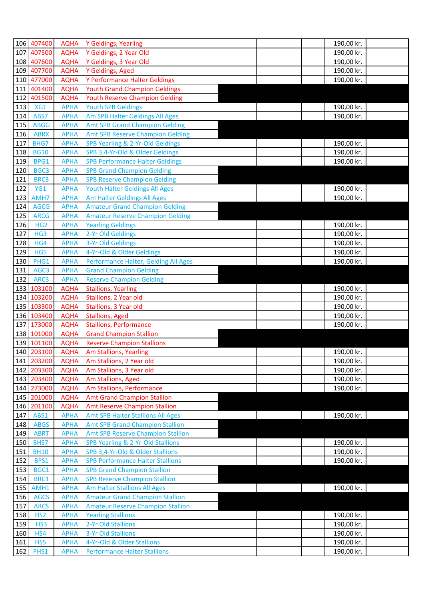|            | 106 407400                 | <b>AQHA</b>                | Y Geldings, Yearling                                                       | 190,00 kr. |  |
|------------|----------------------------|----------------------------|----------------------------------------------------------------------------|------------|--|
|            | 107 407500                 | <b>AQHA</b>                | Y Geldings, 2 Year Old                                                     | 190,00 kr. |  |
|            | 108 407600                 | <b>AQHA</b>                | Y Geldings, 3 Year Old                                                     | 190,00 kr. |  |
|            | 109 407700                 | <b>AQHA</b>                | Y Geldings, Aged                                                           | 190,00 kr. |  |
|            | 110 477000                 | <b>AQHA</b>                | Y Performance Halter Geldings                                              | 190,00 kr. |  |
|            | 111 401400                 | <b>AQHA</b>                | <b>Youth Grand Champion Geldings</b>                                       |            |  |
|            | 112 401500                 | <b>AQHA</b>                | <b>Youth Reserve Champion Gelding</b>                                      |            |  |
| 113        | XG1                        | <b>APHA</b>                | <b>Youth SPB Geldings</b>                                                  | 190,00 kr. |  |
| 114        | ABS7                       | <b>APHA</b>                | Am SPB Halter Geldings All Ages                                            | 190,00 kr. |  |
| 115        | <b>ABGG</b>                | <b>APHA</b>                | <b>Amt SPB Grand Champion Gelding</b>                                      |            |  |
| 116        | <b>ABRX</b>                | <b>APHA</b>                | <b>Amt SPB Reserve Champion Gelding</b>                                    |            |  |
| 117        | BHG7                       | <b>APHA</b>                | SPB Yearling & 2-Yr-Old Geldings                                           | 190,00 kr. |  |
| 118        | <b>BG10</b>                | <b>APHA</b>                | SPB 3,4-Yr-Old & Older Geldings                                            | 190,00 kr. |  |
| 119        | BPG1                       | <b>APHA</b>                | <b>SPB Performance Halter Geldings</b>                                     | 190,00 kr. |  |
| 120        | BGC3                       | <b>APHA</b>                | <b>SPB Grand Champion Gelding</b>                                          |            |  |
| 121        | BRC3                       | <b>APHA</b>                | <b>SPB Reserve Champion Gelding</b>                                        |            |  |
| 122        | YG1                        | <b>APHA</b>                | Youth Halter Geldings All Ages                                             | 190,00 kr. |  |
| 123        | AMH7                       | <b>APHA</b>                | Am Halter Geldings All Ages<br><b>Amateur Grand Champion Gelding</b>       | 190,00 kr. |  |
| 124<br>125 | <b>AGCG</b><br><b>ARCG</b> | <b>APHA</b><br><b>APHA</b> | <b>Amateur Reserve Champion Gelding</b>                                    |            |  |
| 126        | HG <sub>2</sub>            | <b>APHA</b>                | <b>Yearling Geldings</b>                                                   | 190,00 kr. |  |
| 127        | HG3                        | <b>APHA</b>                | 2-Yr Old Geldings                                                          | 190,00 kr. |  |
| 128        | HG4                        | <b>APHA</b>                | 3-Yr Old Geldings                                                          | 190,00 kr. |  |
| 129        | HG5                        | <b>APHA</b>                | 4-Yr-Old & Older Geldings                                                  | 190,00 kr. |  |
| 130        | PHG1                       | <b>APHA</b>                | Performance Halter, Gelding All Ages                                       | 190,00 kr. |  |
| 131        | AGC3                       | <b>APHA</b>                | <b>Grand Champion Gelding</b>                                              |            |  |
| 132        | ARC3                       | <b>APHA</b>                | <b>Reserve Champion Gelding</b>                                            |            |  |
| 133        | 103100                     | <b>AQHA</b>                | <b>Stallions, Yearling</b>                                                 | 190,00 kr. |  |
|            | 134 103200                 | <b>AQHA</b>                | Stallions, 2 Year old                                                      | 190,00 kr. |  |
|            | 135 103300                 | <b>AQHA</b>                | Stallions, 3 Year old                                                      | 190,00 kr. |  |
|            | 136 103400                 | <b>AQHA</b>                | <b>Stallions, Aged</b>                                                     | 190,00 kr. |  |
|            | 137 173000                 | <b>AQHA</b>                | <b>Stallions, Performance</b>                                              | 190,00 kr. |  |
|            | 138 101000                 | <b>AQHA</b>                | <b>Grand Champion Stallion</b>                                             |            |  |
|            | 139 101100                 | <b>AQHA</b>                | <b>Reserve Champion Stallions</b>                                          |            |  |
|            | 140 203100                 | <b>AQHA</b>                | Am Stallions, Yearling                                                     | 190,00 kr. |  |
|            | 141 203200                 | <b>AQHA</b>                | Am Stallions, 2 Year old                                                   | 190,00 kr. |  |
|            | 142 203300                 | <b>AQHA</b>                | Am Stallions, 3 Year old                                                   | 190,00 kr. |  |
|            | 143 203400                 | <b>AQHA</b>                | Am Stallions, Aged                                                         | 190,00 kr. |  |
|            | 144 273000                 | <b>AQHA</b>                | Am Stallions, Performance                                                  | 190,00 kr. |  |
|            | 145 201000                 | <b>AQHA</b>                | <b>Amt Grand Champion Stallion</b><br><b>Amt Reserve Champion Stallion</b> |            |  |
| 147        | 146 201100<br>ABS1         | <b>AQHA</b><br><b>APHA</b> | <b>Amt SPB Halter Stallions All Ages</b>                                   | 190,00 kr. |  |
| 148        | <b>ABGS</b>                | <b>APHA</b>                | <b>Amt SPB Grand Champion Stallion</b>                                     |            |  |
| 149        | <b>ABRT</b>                | <b>APHA</b>                | <b>Amt SPB Reserve Champion Stallion</b>                                   |            |  |
| 150        | BHS7                       | <b>APHA</b>                | SPB Yearling & 2-Yr-Old Stallions                                          | 190,00 kr. |  |
| 151        | <b>BH10</b>                | <b>APHA</b>                | SPB 3,4-Yr-Old & Older Stallions                                           | 190,00 kr. |  |
| 152        | BPS1                       | <b>APHA</b>                | <b>SPB Performance Halter Stallions</b>                                    | 190,00 kr. |  |
| 153        | BGC1                       | <b>APHA</b>                | <b>SPB Grand Champion Stallion</b>                                         |            |  |
| 154        | BRC1                       | <b>APHA</b>                | <b>SPB Reserve Champion Stallion</b>                                       |            |  |
| 155        | AMH1                       | <b>APHA</b>                | Am Halter Stallions All Ages                                               | 190,00 kr. |  |
| 156        | <b>AGCS</b>                | <b>APHA</b>                | <b>Amateur Grand Champion Stallion</b>                                     |            |  |
| 157        | <b>ARCS</b>                | <b>APHA</b>                | <b>Amateur Reserve Champion Stallion</b>                                   |            |  |
| 158        | HS <sub>2</sub>            | <b>APHA</b>                | <b>Yearling Stallions</b>                                                  | 190,00 kr. |  |
| 159        | HS3                        | <b>APHA</b>                | 2-Yr Old Stallions                                                         | 190,00 kr. |  |
| 160        | HS4                        | <b>APHA</b>                | 3-Yr Old Stallions                                                         | 190,00 kr. |  |
| 161        | HS5                        | <b>APHA</b>                | 4-Yr-Old & Older Stallions                                                 | 190,00 kr. |  |
| 162        | PHS1                       | <b>APHA</b>                | <b>Performance Halter Stallions</b>                                        | 190,00 kr. |  |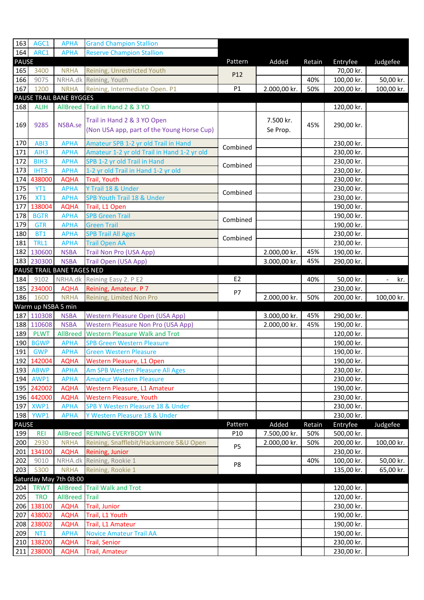| 163          | AGC1                                 | <b>APHA</b>                          | <b>Grand Champion Stallion</b>                                              |                 |              |        |                          |                       |
|--------------|--------------------------------------|--------------------------------------|-----------------------------------------------------------------------------|-----------------|--------------|--------|--------------------------|-----------------------|
| 164          | ARC1                                 | <b>APHA</b>                          | <b>Reserve Champion Stallion</b>                                            |                 |              |        |                          |                       |
| <b>PAUSE</b> |                                      |                                      |                                                                             | Pattern         | Added        | Retain | Entryfee                 | Judgefee              |
| 165          | 3400                                 | <b>NRHA</b>                          | Reining, Unrestricted Youth                                                 | P12             |              |        | 70,00 kr.                |                       |
| 166          | 9075                                 |                                      | NRHA.dk Reining, Youth                                                      |                 |              | 40%    | 100,00 kr.               | 50,00 kr.             |
| 167          | 1200                                 | <b>NRHA</b>                          | Reining, Intermediate Open. P1                                              | P1              | 2.000,00 kr. | 50%    | 200,00 kr.               | 100,00 kr.            |
|              |                                      | PAUSE TRAIL BANE BYGGES              |                                                                             |                 |              |        |                          |                       |
| 168          | <b>ALIH</b>                          |                                      | AllBreed Trail in Hand 2 & 3 YO                                             |                 |              |        | 120,00 kr.               |                       |
|              |                                      |                                      | Trail in Hand 2 & 3 YO Open                                                 |                 | 7.500 kr.    |        |                          |                       |
| 169          | 9285                                 | NSBA.se                              | (Non USA app, part of the Young Horse Cup)                                  |                 | Se Prop.     | 45%    | 290,00 kr.               |                       |
|              |                                      |                                      |                                                                             |                 |              |        |                          |                       |
| 170          | ABI3                                 | <b>APHA</b>                          | Amateur SPB 1-2 yr old Trail in Hand                                        | Combined        |              |        | 230,00 kr.               |                       |
| 171<br>172   | AIH <sub>3</sub><br>BIH <sub>3</sub> | <b>APHA</b><br><b>APHA</b>           | Amateur 1-2 yr old Trail in Hand 1-2 yr old<br>SPB 1-2 yr old Trail in Hand |                 |              |        | 230,00 kr.               |                       |
| 173          | IHT3                                 | <b>APHA</b>                          | 1-2 yr old Trail in Hand 1-2 yr old                                         | Combined        |              |        | 230,00 kr.<br>230,00 kr. |                       |
|              | 174 438000                           | <b>AQHA</b>                          | Trail, Youth                                                                |                 |              |        | 230,00 kr.               |                       |
| 175          | <b>YT1</b>                           | <b>APHA</b>                          | Y Trail 18 & Under                                                          |                 |              |        | 230,00 kr.               |                       |
| 176          | XT1                                  | <b>APHA</b>                          | SPB Youth Trail 18 & Under                                                  | Combined        |              |        | 230,00 kr.               |                       |
| 177          | 138004                               | <b>AQHA</b>                          | Trail, L1 Open                                                              |                 |              |        | 190,00 kr.               |                       |
| 178          | <b>BGTR</b>                          | <b>APHA</b>                          | <b>SPB Green Trail</b>                                                      |                 |              |        | 190,00 kr.               |                       |
| 179          | <b>GTR</b>                           | <b>APHA</b>                          | <b>Green Trail</b>                                                          | Combined        |              |        | 190,00 kr.               |                       |
| 180          | <b>BT1</b>                           | <b>APHA</b>                          | <b>SPB Trail All Ages</b>                                                   |                 |              |        | 230,00 kr.               |                       |
| 181          | TRL1                                 | <b>APHA</b>                          | <b>Trail Open AA</b>                                                        | Combined        |              |        | 230,00 kr.               |                       |
|              | 182 130600                           | <b>NSBA</b>                          | Trail Non Pro (USA App)                                                     |                 | 2.000,00 kr. | 45%    | 190,00 kr.               |                       |
|              | 183 230300                           | <b>NSBA</b>                          | Trail Open (USA App)                                                        |                 | 3.000,00 kr. | 45%    | 290,00 kr.               |                       |
|              |                                      | PAUSE TRAIL BANE TAGES NED           |                                                                             |                 |              |        |                          |                       |
| 184          | 9102                                 | NRHA.dk                              | Reining Easy 2. P E2                                                        | E <sub>2</sub>  |              | 40%    | 50,00 kr.                | kr.<br>$\blacksquare$ |
|              | 185 234000                           | <b>AQHA</b>                          | Reining, Amateur. P 7                                                       | P7              |              |        | 230,00 kr.               |                       |
| 186          | 1600                                 | <b>NRHA</b>                          | Reining, Limited Non Pro                                                    |                 | 2.000,00 kr. | 50%    | 200,00 kr.               | 100,00 kr.            |
|              |                                      |                                      |                                                                             |                 |              |        |                          |                       |
|              | Warm up NSBA 5 min                   |                                      |                                                                             |                 |              |        |                          |                       |
|              | 187 110308                           | <b>NSBA</b>                          | <b>Western Pleasure Open (USA App)</b>                                      |                 | 3.000,00 kr. | 45%    | 290,00 kr.               |                       |
|              | 188 110608                           | <b>NSBA</b>                          | <b>Western Pleasure Non Pro (USA App)</b>                                   |                 | 2.000,00 kr. | 45%    | 190,00 kr.               |                       |
| 189          | <b>PLWT</b>                          | AllBreed                             | <b>Western Pleasure Walk and Trot</b>                                       |                 |              |        | 120,00 kr.               |                       |
| 190          | <b>BGWP</b>                          | <b>APHA</b>                          | <b>SPB Green Western Pleasure</b>                                           |                 |              |        | 190,00 kr.               |                       |
| 191          | <b>GWP</b>                           | <b>APHA</b>                          | <b>Green Western Pleasure</b>                                               |                 |              |        | 190,00 kr.               |                       |
|              | 192 142004                           | <b>AQHA</b>                          | Western Pleasure, L1 Open                                                   |                 |              |        | 190,00 kr.               |                       |
|              | 193 ABWP                             | <b>APHA</b>                          | Am SPB Western Pleasure All Ages                                            |                 |              |        | 230,00 kr.               |                       |
|              | 194 AWP1                             | <b>APHA</b>                          | <b>Amateur Western Pleasure</b>                                             |                 |              |        | 230,00 kr.               |                       |
|              | 195 242002                           | <b>AQHA</b>                          | Western Pleasure, L1 Amateur                                                |                 |              |        | 190,00 kr.               |                       |
|              | 196 442000                           | <b>AQHA</b>                          | Western Pleasure, Youth                                                     |                 |              |        | 230,00 kr.               |                       |
|              | 197 XWP1                             | <b>APHA</b>                          | SPB Y Western Pleasure 18 & Under                                           |                 |              |        | 230,00 kr.               |                       |
| 198          | YWP1                                 | <b>APHA</b>                          | Y Western Pleasure 18 & Under                                               |                 |              |        | 230,00 kr.               |                       |
| <b>PAUSE</b> |                                      |                                      |                                                                             | Pattern         | Added        | Retain | Entryfee                 | Judgefee              |
| 199          | <b>REI</b>                           |                                      | AllBreed REINING EVERYBODY WIN                                              | P <sub>10</sub> | 7.500,00 kr. | 50%    | 500,00 kr.               |                       |
| 200          | 2930                                 | <b>NRHA</b>                          | Reining, Snafflebit/Hackamore 5&U Open                                      | P <sub>5</sub>  | 2.000,00 kr. | 50%    | 200,00 kr.               | 100,00 kr.            |
|              | 201 134100                           | <b>AQHA</b>                          | Reining, Junior                                                             |                 |              |        | 230,00 kr.               |                       |
| 202          | 9010                                 |                                      | NRHA.dk Reining, Rookie 1                                                   | P8              |              | 40%    | 100,00 kr.               | 50,00 kr.             |
| 203          | 5300                                 | <b>NRHA</b>                          | Reining, Rookie 1                                                           |                 |              |        | 135,00 kr.               | 65,00 kr.             |
|              |                                      | Saturday May 7th 08:00               |                                                                             |                 |              |        |                          |                       |
| 204          | <b>TRWT</b>                          |                                      | <b>AllBreed Trail Walk and Trot</b>                                         |                 |              |        | 120,00 kr.               |                       |
| 205          | <b>TRO</b>                           | <b>AllBreed</b> Trail<br><b>AQHA</b> | <b>Trail, Junior</b>                                                        |                 |              |        | 120,00 kr.<br>230,00 kr. |                       |
|              | 206 138100<br>207 438002             | <b>AQHA</b>                          | Trail, L1 Youth                                                             |                 |              |        | 190,00 kr.               |                       |
|              | 208 238002                           | <b>AQHA</b>                          | Trail, L1 Amateur                                                           |                 |              |        | 190,00 kr.               |                       |
| 209          | <b>NT1</b>                           | <b>APHA</b>                          | <b>Novice Amateur Trail AA</b>                                              |                 |              |        | 190,00 kr.               |                       |
|              | 210 138200                           | <b>AQHA</b>                          | <b>Trail, Senior</b>                                                        |                 |              |        | 230,00 kr.               |                       |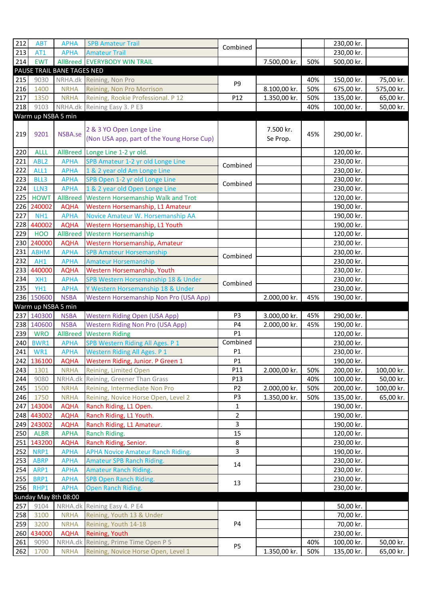| 212        | <b>ABT</b>               | <b>APHA</b>                    | <b>SPB Amateur Trail</b>                                               |                      |                       |                                 | 230,00 kr.               |                        |  |  |  |  |  |
|------------|--------------------------|--------------------------------|------------------------------------------------------------------------|----------------------|-----------------------|---------------------------------|--------------------------|------------------------|--|--|--|--|--|
| 213        | AT1                      | <b>APHA</b>                    | <b>Amateur Trail</b>                                                   | Combined             |                       |                                 | 230,00 kr.               |                        |  |  |  |  |  |
| 214        | <b>EWT</b>               |                                | AllBreed EVERYBODY WIN TRAIL                                           |                      | 7.500,00 kr.          | 50%                             | 500,00 kr.               |                        |  |  |  |  |  |
|            |                          | PAUSE TRAIL BANE TAGES NED     |                                                                        |                      |                       |                                 |                          |                        |  |  |  |  |  |
| 215        | 9030                     |                                | NRHA.dk Reining, Non Pro                                               |                      |                       | 40%                             | 150,00 kr.               | 75,00 kr.              |  |  |  |  |  |
| 216        | 1400                     | <b>NRHA</b>                    | Reining, Non Pro Morrison                                              | P9                   | 8.100,00 kr.          | 50%                             | 675,00 kr.               | 575,00 kr.             |  |  |  |  |  |
| 217        | 1350                     | <b>NRHA</b>                    | Reining, Rookie Professional. P 12                                     | P12                  | 1.350,00 kr.          | 50%                             | 135,00 kr.               | 65,00 kr.              |  |  |  |  |  |
| 218        | 9103                     |                                | NRHA.dk Reining Easy 3. P E3                                           |                      |                       | 40%                             | 100,00 kr.               | 50,00 kr.              |  |  |  |  |  |
|            | Warm up NSBA 5 min       |                                |                                                                        |                      |                       |                                 |                          |                        |  |  |  |  |  |
| 219        | 9201                     | NSBA.se                        | 2 & 3 YO Open Longe Line<br>(Non USA app, part of the Young Horse Cup) |                      | 7.500 kr.<br>Se Prop. | 45%                             | 290,00 kr.               |                        |  |  |  |  |  |
| 220        | <b>ALLL</b>              | AllBreed                       | Longe Line 1-2 yr old.                                                 |                      |                       |                                 | 120,00 kr.               |                        |  |  |  |  |  |
| 221        | ABL <sub>2</sub>         | <b>APHA</b>                    | SPB Amateur 1-2 yr old Longe Line                                      | Combined             |                       |                                 | 230,00 kr.               |                        |  |  |  |  |  |
| 222        | ALL1                     | <b>APHA</b>                    | 1 & 2 year old Am Longe Line                                           |                      |                       |                                 | 230,00 kr.               |                        |  |  |  |  |  |
| 223        | BLL3                     | <b>APHA</b>                    | SPB Open 1-2 yr old Longe Line                                         | Combined             |                       |                                 | 230,00 kr.               |                        |  |  |  |  |  |
| 224        | LLN3                     | <b>APHA</b>                    | 1 & 2 year old Open Longe Line                                         |                      |                       |                                 | 230,00 kr.               |                        |  |  |  |  |  |
| 225        | <b>HOWT</b>              | <b>AllBreed</b>                | Western Horsemanship Walk and Trot                                     |                      |                       |                                 | 120,00 kr.               |                        |  |  |  |  |  |
| 226        | 240002                   | <b>AQHA</b>                    | Western Horsemanship, L1 Amateur                                       |                      |                       |                                 | 190,00 kr.               |                        |  |  |  |  |  |
| 227        | NH <sub>1</sub>          | <b>APHA</b>                    | Novice Amateur W. Horsemanship AA                                      |                      |                       |                                 | 190,00 kr.               |                        |  |  |  |  |  |
|            | 228 440002               | <b>AQHA</b>                    | Western Horsemanship, L1 Youth                                         |                      |                       |                                 | 190,00 kr.               |                        |  |  |  |  |  |
| 229        | <b>HOO</b>               | <b>AllBreed</b>                | <b>Western Horsemanship</b>                                            |                      |                       |                                 | 120,00 kr.               |                        |  |  |  |  |  |
| 230        | 240000                   | <b>AQHA</b>                    | Western Horsemanship, Amateur                                          |                      |                       |                                 | 230,00 kr.               |                        |  |  |  |  |  |
| 231        | <b>ABHM</b>              | <b>APHA</b>                    | <b>SPB Amateur Horsemanship</b>                                        | Combined             |                       |                                 | 230,00 kr.               |                        |  |  |  |  |  |
| 232        | AH1                      | <b>APHA</b>                    | <b>Amateur Horsemanship</b>                                            |                      |                       |                                 | 230,00 kr.               |                        |  |  |  |  |  |
| 233        | 440000                   | <b>AQHA</b>                    | Western Horsemanship, Youth                                            |                      |                       |                                 | 230,00 kr.               |                        |  |  |  |  |  |
| 234        | XH1                      | <b>APHA</b>                    | SPB Western Horsemanship 18 & Under                                    | Combined             |                       |                                 | 230,00 kr.               |                        |  |  |  |  |  |
| 235        | YH1                      | <b>APHA</b>                    | Y Western Horsemanship 18 & Under                                      |                      |                       |                                 | 230,00 kr.               |                        |  |  |  |  |  |
|            |                          |                                |                                                                        |                      |                       | 236 150600<br>45%<br>190,00 kr. |                          |                        |  |  |  |  |  |
|            |                          | <b>NSBA</b>                    | Western Horsemanship Non Pro (USA App)                                 |                      | 2.000,00 kr.          |                                 |                          |                        |  |  |  |  |  |
|            | Warm up NSBA 5 min       |                                |                                                                        |                      |                       |                                 |                          |                        |  |  |  |  |  |
|            | 237 140300               | <b>NSBA</b>                    | <b>Western Riding Open (USA App)</b>                                   | P <sub>3</sub><br>P4 | 3.000,00 kr.          | 45%<br>45%                      | 290,00 kr.               |                        |  |  |  |  |  |
| 239        | 238 140600<br><b>WRO</b> | <b>NSBA</b><br><b>AllBreed</b> | <b>Western Riding Non Pro (USA App)</b>                                | P1                   | 2.000,00 kr.          |                                 | 190,00 kr.<br>120,00 kr. |                        |  |  |  |  |  |
| 240        | BWR1                     | <b>APHA</b>                    | <b>Western Riding</b><br>SPB Western Riding All Ages. P 1              | Combined             |                       |                                 | 230,00 kr.               |                        |  |  |  |  |  |
| 241        | WR1                      | <b>APHA</b>                    | <b>Western Riding All Ages. P 1</b>                                    | P1                   |                       |                                 | 230,00 kr.               |                        |  |  |  |  |  |
|            | 242 136100               | <b>AQHA</b>                    | Western Riding, Junior. P Green 1                                      | P1                   |                       |                                 | 190,00 kr.               |                        |  |  |  |  |  |
| 243        | 1301                     | <b>NRHA</b>                    | Reining, Limited Open                                                  | P11                  | 2.000,00 kr.          | 50%                             | 200,00 kr.               | 100,00 kr.             |  |  |  |  |  |
| 244        | 9080                     |                                | NRHA.dk Reining, Greener Than Grass                                    | P13                  |                       | 40%                             | 100,00 kr.               | 50,00 kr.              |  |  |  |  |  |
| 245        | 1500                     | <b>NRHA</b>                    | Reining, Intermediate Non Pro                                          | P <sub>2</sub>       | 2.000,00 kr.          | 50%                             | 200,00 kr.               | 100,00 kr.             |  |  |  |  |  |
| 246        | 1750                     | <b>NRHA</b>                    | Reining, Novice Horse Open, Level 2                                    | P3                   | 1.350,00 kr.          | 50%                             | 135,00 kr.               | 65,00 kr.              |  |  |  |  |  |
|            | 247 143004               | <b>AQHA</b>                    | Ranch Riding, L1 Open.                                                 | 1                    |                       |                                 | 190,00 kr.               |                        |  |  |  |  |  |
|            | 248 443002               | <b>AQHA</b>                    | Ranch Riding, L1 Youth.                                                | $\overline{2}$       |                       |                                 | 190,00 kr.               |                        |  |  |  |  |  |
|            | 249 243002               | <b>AQHA</b>                    | Ranch Riding, L1 Amateur.                                              | 3                    |                       |                                 | 190,00 kr.               |                        |  |  |  |  |  |
| 250        | <b>ALBR</b>              | <b>APHA</b>                    | Ranch Riding.                                                          | 15                   |                       |                                 | 120,00 kr.               |                        |  |  |  |  |  |
|            | 251 143200               | <b>AQHA</b>                    | Ranch Riding, Senior.                                                  | 8                    |                       |                                 | 230,00 kr.               |                        |  |  |  |  |  |
| 252        | NRP1                     | <b>APHA</b>                    | <b>APHA Novice Amateur Ranch Riding.</b>                               | 3                    |                       |                                 | 190,00 kr.               |                        |  |  |  |  |  |
| 253        | <b>ABRP</b>              | <b>APHA</b>                    | <b>Amateur SPB Ranch Riding.</b>                                       | 14                   |                       |                                 | 230,00 kr.               |                        |  |  |  |  |  |
| 254        | ARP1                     | <b>APHA</b>                    | <b>Amateur Ranch Riding.</b>                                           |                      |                       |                                 | 230,00 kr.               |                        |  |  |  |  |  |
| 255        | BRP1                     | <b>APHA</b>                    | <b>SPB Open Ranch Riding.</b>                                          | 13                   |                       |                                 | 230,00 kr.               |                        |  |  |  |  |  |
| 256        | RHP1                     | <b>APHA</b>                    | Open Ranch Riding.                                                     |                      |                       |                                 | 230,00 kr.               |                        |  |  |  |  |  |
|            |                          | Sunday May 8th 08:00           |                                                                        |                      |                       |                                 |                          |                        |  |  |  |  |  |
| 257        | 9104                     | NRHA.dk                        | Reining Easy 4. P E4                                                   |                      |                       |                                 | 50,00 kr.                |                        |  |  |  |  |  |
| 258        | 3100                     | <b>NRHA</b>                    | Reining, Youth 13 & Under                                              |                      |                       |                                 | 70,00 kr.                |                        |  |  |  |  |  |
| 259        | 3200                     | <b>NRHA</b>                    | Reining, Youth 14-18                                                   | P <sub>4</sub>       |                       |                                 | 70,00 kr.                |                        |  |  |  |  |  |
|            | 260 434000               | <b>AQHA</b>                    | Reining, Youth                                                         |                      |                       |                                 | 230,00 kr.               |                        |  |  |  |  |  |
| 261<br>262 | 9090<br>1700             | NRHA.dk<br><b>NRHA</b>         | Reining, Prime Time Open P 5<br>Reining, Novice Horse Open, Level 1    | P <sub>5</sub>       | 1.350,00 kr.          | 40%<br>50%                      | 100,00 kr.<br>135,00 kr. | 50,00 kr.<br>65,00 kr. |  |  |  |  |  |